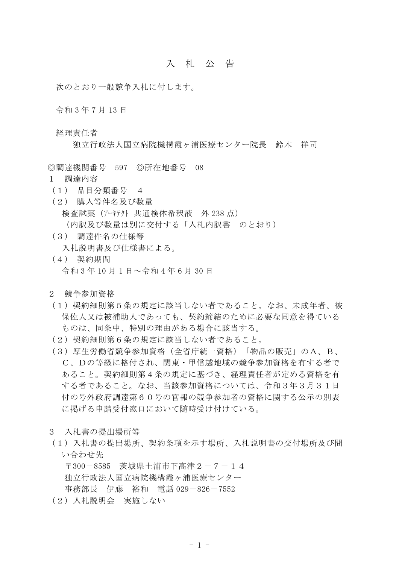## 入 札 公 告

次のとおり一般競争入札に付します。

令和 3 年 7 月 13 日

経理責任者

独立行政法人国立病院機構霞ヶ浦医療センター院長 鈴木 祥司

◎調達機関番号 597 ◎所在地番号 08

- 1 調達内容
- (1) 品目分類番号 4
- (2) 購入等件名及び数量 検査試薬(アーキテクト 共通検体希釈液 外 238 点) (内訳及び数量は別に交付する「入札内訳書」のとおり)
- (3) 調達件名の仕様等 入札説明書及び仕様書による。
- (4) 契約期間 令和 3 年 10 月 1 日~令和 4 年 6 月 30 日
- 2 競争参加資格
- (1)契約細則第5条の規定に該当しない者であること。なお、未成年者、被 保佐人又は被補助人であっても、契約締結のために必要な同意を得ている ものは、同条中、特別の理由がある場合に該当する。
- (2)契約細則第6条の規定に該当しない者であること。
- (3)厚生労働省競争参加資格(全省庁統一資格)「物品の販売」のA、B、 C、Dの等級に格付され、関東・甲信越地域の競争参加資格を有する者で あること。契約細則第4条の規定に基づき、経理責任者が定める資格を有 する者であること。なお、当該参加資格については、令和3年3月31日 付の号外政府調達第60号の官報の競争参加者の資格に関する公示の別表 に掲げる申請受付窓口において随時受け付けている。
- 3 入札書の提出場所等
- (1)入札書の提出場所、契約条項を示す場所、入札説明書の交付場所及び問 い合わせ先

〒300-8585 茨城県土浦市下高津2-7-14 独立行政法人国立病院機構霞ヶ浦医療センター 事務部長 伊藤 裕和 電話 029-826-7552

(2)入札説明会 実施しない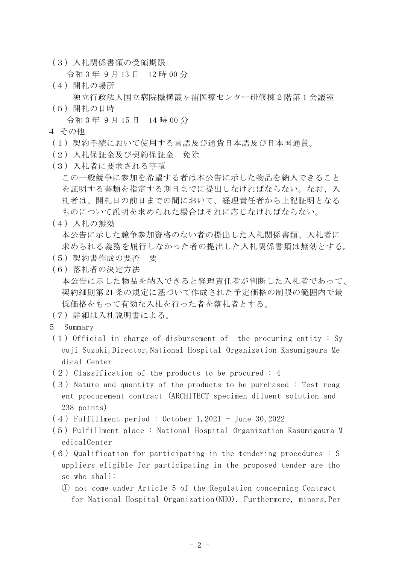(3)入札関係書類の受領期限

令和 3 年 9 月 13 日 12 時 00 分

- (4)開札の場所 独立行政法人国立病院機構霞ヶ浦医療センター研修棟2階第1会議室
- (5)開札の日時

令和 3 年 9 月 15 日 14 時 00 分

- 4 その他
- (1)契約手続において使用する言語及び通貨日本語及び日本国通貨。
- (2)入札保証金及び契約保証金 免除
- (3)入札者に要求される事項
	- この一般競争に参加を希望する者は本公告に示した物品を納入できること を証明する書類を指定する期日までに提出しなければならない。なお、入 札者は、開札日の前日までの間において、経理責任者から上記証明となる ものについて説明を求められた場合はそれに応じなければならない。
- (4)入札の無効

本公告に示した競争参加資格のない者の提出した入札関係書類、入札者に 求められる義務を履行しなかった者の提出した入札関係書類は無効とする。

- (5)契約書作成の要否 要
- (6)落札者の決定方法
	- 本公告に示した物品を納入できると経理責任者が判断した入札者であって、 契約細則第 21 条の規定に基づいて作成された予定価格の制限の範囲内で最 低価格をもって有効な入札を行った者を落札者とする。
- (7)詳細は入札説明書による。
- 5 Summary
- $(1)$  Official in charge of disbursement of the procuring entity : Sy ouji Suzuki,Director,National Hospital Organization Kasumigaura Me dical Center
- $(2)$  Classification of the products to be procured : 4
- $(3)$  Nature and quantity of the products to be purchased : Test reag ent procurement contract (ARCHITECT specimen diluent solution and 238 points)
- (4)Fulfillment period : October 1,2021 June 30,2022
- (5)Fulfillment place : National Hospital Organization Kasumigaura M edicalCenter
- $(6)$  Qualification for participating in the tendering procedures : S uppliers eligible for participating in the proposed tender are tho se who shall:
	- ① not come under Article 5 of the Regulation concerning Contract for National Hospital Organization(NHO). Furthermore, minors,Per